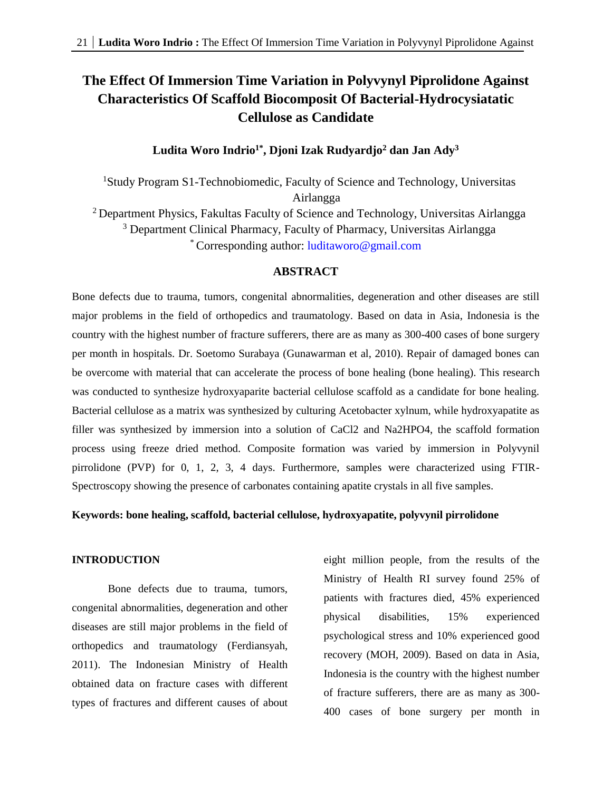# **The Effect Of Immersion Time Variation in Polyvynyl Piprolidone Against Characteristics Of Scaffold Biocomposit Of Bacterial-Hydrocysiatatic Cellulose as Candidate**

## **Ludita Woro Indrio1\*, Djoni Izak Rudyardjo<sup>2</sup> dan Jan Ady<sup>3</sup>**

<sup>1</sup>Study Program S1-Technobiomedic, Faculty of Science and Technology, Universitas Airlangga <sup>2</sup> Department Physics, Fakultas Faculty of Science and Technology, Universitas Airlangga <sup>3</sup> Department Clinical Pharmacy, Faculty of Pharmacy, Universitas Airlangga \* Corresponding author: [luditaworo@gmail.com](mailto:luditaworo@gmail.com)

## **ABSTRACT**

Bone defects due to trauma, tumors, congenital abnormalities, degeneration and other diseases are still major problems in the field of orthopedics and traumatology. Based on data in Asia, Indonesia is the country with the highest number of fracture sufferers, there are as many as 300-400 cases of bone surgery per month in hospitals. Dr. Soetomo Surabaya (Gunawarman et al, 2010). Repair of damaged bones can be overcome with material that can accelerate the process of bone healing (bone healing). This research was conducted to synthesize hydroxyaparite bacterial cellulose scaffold as a candidate for bone healing. Bacterial cellulose as a matrix was synthesized by culturing Acetobacter xylnum, while hydroxyapatite as filler was synthesized by immersion into a solution of CaCl2 and Na2HPO4, the scaffold formation process using freeze dried method. Composite formation was varied by immersion in Polyvynil pirrolidone (PVP) for 0, 1, 2, 3, 4 days. Furthermore, samples were characterized using FTIR-Spectroscopy showing the presence of carbonates containing apatite crystals in all five samples.

#### **Keywords: bone healing, scaffold, bacterial cellulose, hydroxyapatite, polyvynil pirrolidone**

## **INTRODUCTION**

Bone defects due to trauma, tumors, congenital abnormalities, degeneration and other diseases are still major problems in the field of orthopedics and traumatology (Ferdiansyah, 2011). The Indonesian Ministry of Health obtained data on fracture cases with different types of fractures and different causes of about

eight million people, from the results of the Ministry of Health RI survey found 25% of patients with fractures died, 45% experienced physical disabilities, 15% experienced psychological stress and 10% experienced good recovery (MOH, 2009). Based on data in Asia, Indonesia is the country with the highest number of fracture sufferers, there are as many as 300- 400 cases of bone surgery per month in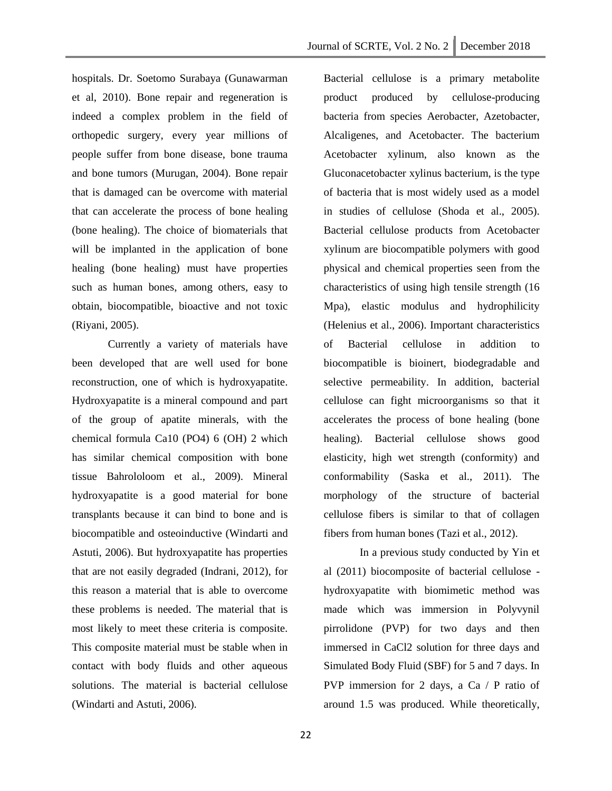Journal of SCRTE, Vol. 2 No. 2 December 2018

hospitals. Dr. Soetomo Surabaya (Gunawarman et al, 2010). Bone repair and regeneration is indeed a complex problem in the field of orthopedic surgery, every year millions of people suffer from bone disease, bone trauma and bone tumors (Murugan, 2004). Bone repair that is damaged can be overcome with material that can accelerate the process of bone healing (bone healing). The choice of biomaterials that will be implanted in the application of bone healing (bone healing) must have properties such as human bones, among others, easy to obtain, biocompatible, bioactive and not toxic (Riyani, 2005).

Currently a variety of materials have been developed that are well used for bone reconstruction, one of which is hydroxyapatite. Hydroxyapatite is a mineral compound and part of the group of apatite minerals, with the chemical formula Ca10 (PO4) 6 (OH) 2 which has similar chemical composition with bone tissue Bahrololoom et al., 2009). Mineral hydroxyapatite is a good material for bone transplants because it can bind to bone and is biocompatible and osteoinductive (Windarti and Astuti, 2006). But hydroxyapatite has properties that are not easily degraded (Indrani, 2012), for this reason a material that is able to overcome these problems is needed. The material that is most likely to meet these criteria is composite. This composite material must be stable when in contact with body fluids and other aqueous solutions. The material is bacterial cellulose (Windarti and Astuti, 2006).

Bacterial cellulose is a primary metabolite product produced by cellulose-producing bacteria from species Aerobacter, Azetobacter, Alcaligenes, and Acetobacter. The bacterium Acetobacter xylinum, also known as the Gluconacetobacter xylinus bacterium, is the type of bacteria that is most widely used as a model in studies of cellulose (Shoda et al., 2005). Bacterial cellulose products from Acetobacter xylinum are biocompatible polymers with good physical and chemical properties seen from the characteristics of using high tensile strength (16 Mpa), elastic modulus and hydrophilicity (Helenius et al., 2006). Important characteristics of Bacterial cellulose in addition to biocompatible is bioinert, biodegradable and selective permeability. In addition, bacterial cellulose can fight microorganisms so that it accelerates the process of bone healing (bone healing). Bacterial cellulose shows good elasticity, high wet strength (conformity) and conformability (Saska et al., 2011). The morphology of the structure of bacterial cellulose fibers is similar to that of collagen fibers from human bones (Tazi et al., 2012).

In a previous study conducted by Yin et al (2011) biocomposite of bacterial cellulose hydroxyapatite with biomimetic method was made which was immersion in Polyvynil pirrolidone (PVP) for two days and then immersed in CaCl2 solution for three days and Simulated Body Fluid (SBF) for 5 and 7 days. In PVP immersion for 2 days, a Ca / P ratio of around 1.5 was produced. While theoretically,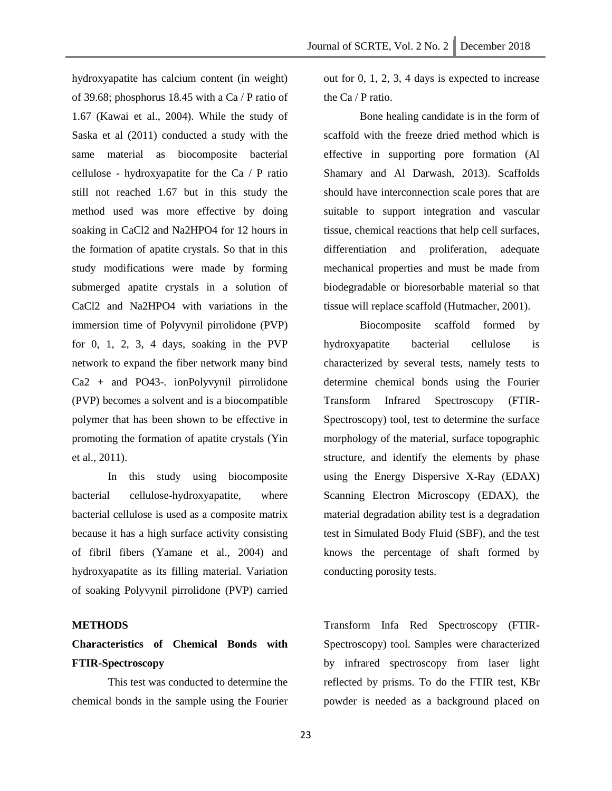hydroxyapatite has calcium content (in weight) of 39.68; phosphorus 18.45 with a Ca / P ratio of 1.67 (Kawai et al., 2004). While the study of Saska et al (2011) conducted a study with the same material as biocomposite bacterial cellulose - hydroxyapatite for the Ca / P ratio still not reached 1.67 but in this study the method used was more effective by doing soaking in CaCl2 and Na2HPO4 for 12 hours in the formation of apatite crystals. So that in this study modifications were made by forming submerged apatite crystals in a solution of CaCl2 and Na2HPO4 with variations in the immersion time of Polyvynil pirrolidone (PVP) for  $0, 1, 2, 3, 4$  days, soaking in the PVP network to expand the fiber network many bind Ca2 + and PO43-. ionPolyvynil pirrolidone (PVP) becomes a solvent and is a biocompatible polymer that has been shown to be effective in promoting the formation of apatite crystals (Yin et al., 2011).

In this study using biocomposite bacterial cellulose-hydroxyapatite, where bacterial cellulose is used as a composite matrix because it has a high surface activity consisting of fibril fibers (Yamane et al., 2004) and hydroxyapatite as its filling material. Variation of soaking Polyvynil pirrolidone (PVP) carried

#### **METHODS**

## **Characteristics of Chemical Bonds with FTIR-Spectroscopy**

This test was conducted to determine the chemical bonds in the sample using the Fourier

out for 0, 1, 2, 3, 4 days is expected to increase the Ca / P ratio.

Bone healing candidate is in the form of scaffold with the freeze dried method which is effective in supporting pore formation (Al Shamary and Al Darwash, 2013). Scaffolds should have interconnection scale pores that are suitable to support integration and vascular tissue, chemical reactions that help cell surfaces, differentiation and proliferation, adequate mechanical properties and must be made from biodegradable or bioresorbable material so that tissue will replace scaffold (Hutmacher, 2001).

Biocomposite scaffold formed by hydroxyapatite bacterial cellulose is characterized by several tests, namely tests to determine chemical bonds using the Fourier Transform Infrared Spectroscopy (FTIR-Spectroscopy) tool, test to determine the surface morphology of the material, surface topographic structure, and identify the elements by phase using the Energy Dispersive X-Ray (EDAX) Scanning Electron Microscopy (EDAX), the material degradation ability test is a degradation test in Simulated Body Fluid (SBF), and the test knows the percentage of shaft formed by conducting porosity tests.

Transform Infa Red Spectroscopy (FTIR-Spectroscopy) tool. Samples were characterized by infrared spectroscopy from laser light reflected by prisms. To do the FTIR test, KBr powder is needed as a background placed on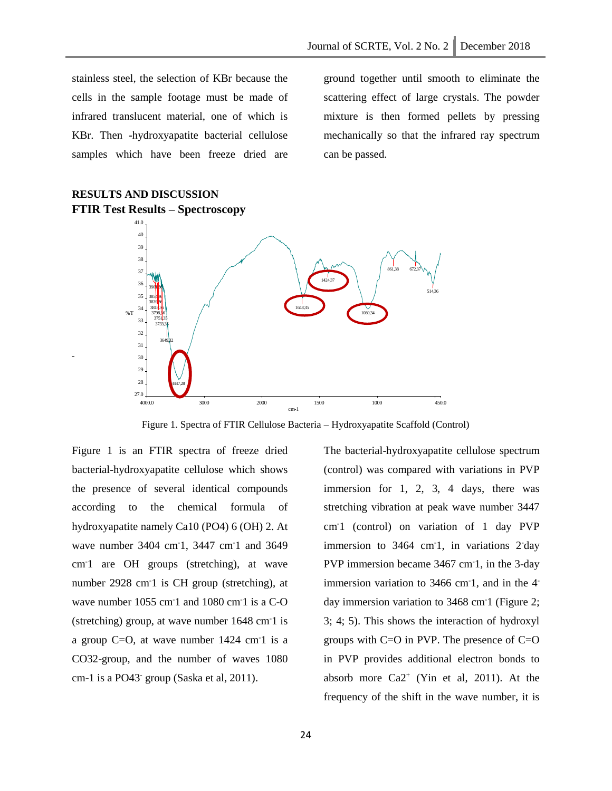stainless steel, the selection of KBr because the cells in the sample footage must be made of infrared translucent material, one of which is KBr. Then -hydroxyapatite bacterial cellulose samples which have been freeze dried are

**RESULTS AND DISCUSSION**

ground together until smooth to eliminate the scattering effect of large crystals. The powder mixture is then formed pellets by pressing mechanically so that the infrared ray spectrum can be passed.



Figure 1. Spectra of FTIR Cellulose Bacteria – Hydroxyapatite Scaffold (Control)

Figure 1 is an FTIR spectra of freeze dried bacterial-hydroxyapatite cellulose which shows the presence of several identical compounds according to the chemical formula of hydroxyapatite namely Ca10 (PO4) 6 (OH) 2. At wave number 3404 cm<sup>-1</sup>, 3447 cm<sup>-1</sup> and 3649 cm-1 are OH groups (stretching), at wave number 2928 cm-1 is CH group (stretching), at wave number 1055 cm<sup>-1</sup> and 1080 cm<sup>-1</sup> is a C-O (stretching) group, at wave number 1648 cm-1 is a group  $C=O$ , at wave number 1424 cm<sup>-1</sup> is a CO32-group, and the number of waves 1080 cm-1 is a PO43- group (Saska et al, 2011).

The bacterial-hydroxyapatite cellulose spectrum (control) was compared with variations in PVP immersion for 1, 2, 3, 4 days, there was stretching vibration at peak wave number 3447 cm-1 (control) on variation of 1 day PVP immersion to 3464 cm<sup>-1</sup>, in variations 2<sup>-</sup>day PVP immersion became 3467 cm-1, in the 3-day immersion variation to 3466 cm<sup>-1</sup>, and in the 4<sup>-</sup> day immersion variation to 3468 cm-1 (Figure 2; 3; 4; 5). This shows the interaction of hydroxyl groups with  $C=O$  in PVP. The presence of  $C=O$ in PVP provides additional electron bonds to absorb more  $Ca2^+$  (Yin et al, 2011). At the frequency of the shift in the wave number, it is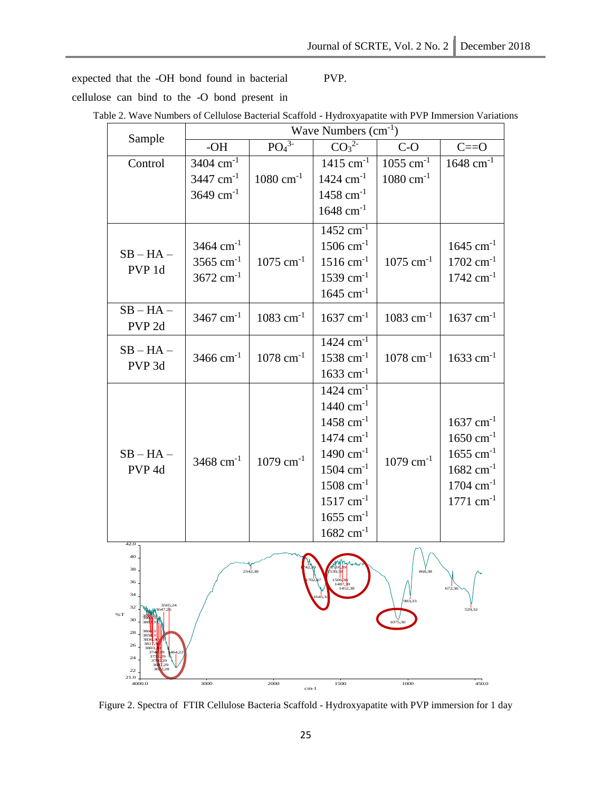expected that the -OH bond found in bacterial cellulose can bind to the -O bond present in

## Table 2. Wave Numbers of Cellulose Bacterial Scaffold - Hydroxyapatite with PVP Immersion Variations

PVP.

|                                    | Wave Numbers $(cm-1)$   |                              |                                                 |                         |                         |
|------------------------------------|-------------------------|------------------------------|-------------------------------------------------|-------------------------|-------------------------|
| Sample                             | -OH                     | PO <sub>4</sub> <sup>3</sup> | $\overline{{\rm CO_3}^{\scriptscriptstyle 2-}}$ | $C-O$                   | $C == O$                |
| Control                            | $3404$ cm <sup>-1</sup> |                              | $1415$ cm <sup>-1</sup>                         | $1055$ cm <sup>-1</sup> | $1648$ cm <sup>-1</sup> |
|                                    | $3447$ cm <sup>-1</sup> | $1080$ cm <sup>-1</sup>      | $1424$ cm <sup>-1</sup>                         | $1080 \text{ cm}^{-1}$  |                         |
|                                    | $3649$ cm <sup>-1</sup> |                              | $1458$ cm <sup>-1</sup>                         |                         |                         |
|                                    |                         |                              | $1648$ cm <sup>-1</sup>                         |                         |                         |
| $SB - HA -$<br>PVP 1d              |                         |                              | $1452$ cm <sup>-1</sup>                         |                         |                         |
|                                    | $3464$ cm <sup>-1</sup> |                              | $1506$ cm <sup>-1</sup>                         |                         | $1645$ cm <sup>-1</sup> |
|                                    | $3565$ cm <sup>-1</sup> | $1075$ cm <sup>-1</sup>      | $1516$ cm <sup>-1</sup>                         | $1075$ cm <sup>-1</sup> | $1702 \text{ cm}^{-1}$  |
|                                    | $3672$ cm <sup>-1</sup> |                              | $1539$ cm <sup>-1</sup>                         |                         | $1742$ cm <sup>-1</sup> |
|                                    |                         |                              | $1645$ cm <sup>-1</sup>                         |                         |                         |
| $SB - HA -$<br>PVP <sub>2d</sub>   | $3467$ cm <sup>-1</sup> | $1083$ cm <sup>-1</sup>      | $1637$ cm <sup>-1</sup>                         | $1083$ cm <sup>-1</sup> | $1637$ cm <sup>-1</sup> |
| $SB - HA -$<br>PVP <sub>3d</sub>   | $3466$ cm <sup>-1</sup> | $1078$ cm <sup>-1</sup>      | $1424$ cm <sup>-1</sup>                         | $1078$ cm <sup>-1</sup> |                         |
|                                    |                         |                              | $1538$ cm <sup>-1</sup>                         |                         | $1633$ cm <sup>-1</sup> |
|                                    |                         |                              | $1633$ cm <sup>-1</sup>                         |                         |                         |
| $SB - HA -$<br>PVP <sub>4d</sub>   | $3468$ cm <sup>-1</sup> | $1079$ cm <sup>-1</sup>      | $1424$ cm <sup>-1</sup>                         | $1079$ cm <sup>-1</sup> |                         |
|                                    |                         |                              | $1440 \text{ cm}^{-1}$                          |                         |                         |
|                                    |                         |                              | $1458$ cm <sup>-1</sup>                         |                         | $1637$ cm <sup>-1</sup> |
|                                    |                         |                              | $1474$ cm <sup>-1</sup>                         |                         | $1650 \text{ cm}^{-1}$  |
|                                    |                         |                              | $1490 \text{ cm}^{-1}$                          |                         | $1655$ cm <sup>-1</sup> |
|                                    |                         |                              | $1504$ cm <sup>-1</sup>                         |                         | $1682 \text{ cm}^{-1}$  |
|                                    |                         |                              | $1508$ cm <sup>-1</sup>                         |                         | $1704 \text{ cm}^{-1}$  |
|                                    |                         |                              | $1517 \text{ cm}^{-1}$                          |                         | $1771$ cm <sup>-1</sup> |
|                                    |                         |                              | $1655$ cm <sup>-1</sup>                         |                         |                         |
|                                    |                         |                              | $1682 \text{ cm}^{-1}$                          |                         |                         |
| 42.0<br>40                         |                         |                              |                                                 |                         |                         |
| 38                                 |                         | $\frac{1}{42.38}$            |                                                 |                         |                         |
| 36                                 |                         |                              | 702.37<br>150638<br>1487.39<br>1452.38          |                         | 672.36                  |
| 34<br>3565.24                      |                         |                              | 645.                                            | 983,33                  |                         |
| 32<br>$96\,\mathrm{T}$<br>30       |                         |                              |                                                 | 1075,30                 | 529,32                  |
| 386<br>28<br>385                   |                         |                              |                                                 |                         |                         |
| 3836<br>3817<br>26<br>380.<br>374  |                         |                              |                                                 |                         |                         |
| 37<br>24<br>29<br>31<br>1.29<br>22 |                         |                              |                                                 |                         |                         |
| 21.0<br>4000.0                     | 3000                    | 2000<br>$cm-1$               | 1500                                            | 1000                    | 450.0                   |
|                                    |                         |                              |                                                 |                         |                         |

Figure 2. Spectra of FTIR Cellulose Bacteria Scaffold - Hydroxyapatite with PVP immersion for 1 day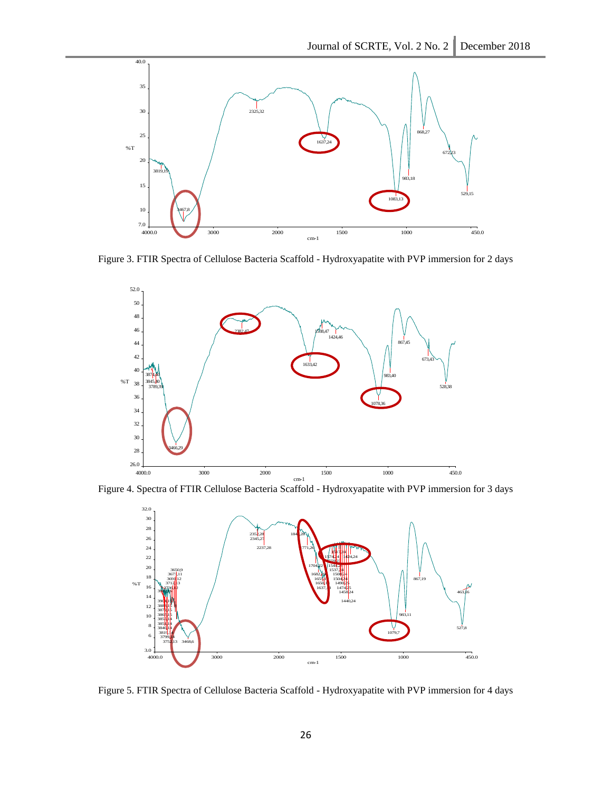

Figure 3. FTIR Spectra of Cellulose Bacteria Scaffold - Hydroxyapatite with PVP immersion for 2 days



Figure 4. Spectra of FTIR Cellulose Bacteria Scaffold - Hydroxyapatite with PVP immersion for 3 days



Figure 5. FTIR Spectra of Cellulose Bacteria Scaffold - Hydroxyapatite with PVP immersion for 4 days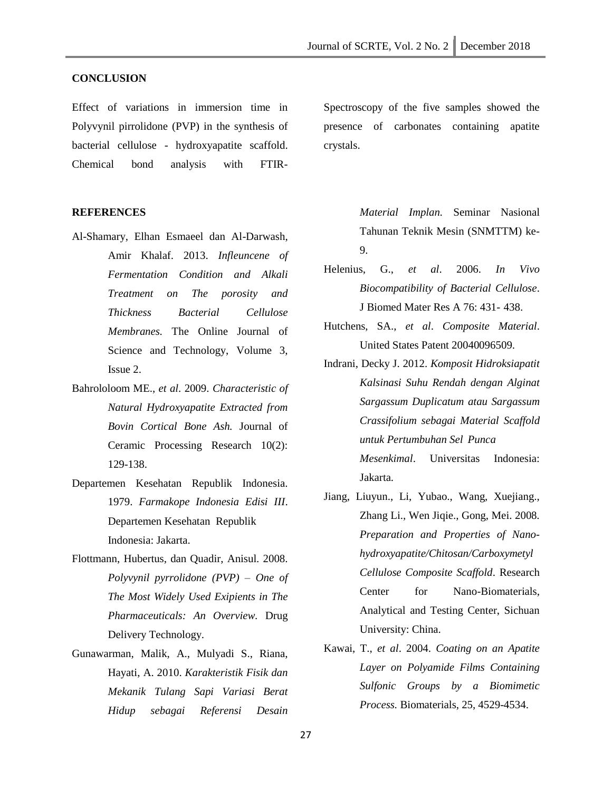#### **CONCLUSION**

Effect of variations in immersion time in Polyvynil pirrolidone (PVP) in the synthesis of bacterial cellulose - hydroxyapatite scaffold. Chemical bond analysis with FTIR-

#### **REFERENCES**

- Al-Shamary, Elhan Esmaeel dan Al-Darwash, Amir Khalaf. 2013. *Infleuncene of Fermentation Condition and Alkali Treatment on The porosity and Thickness Bacterial Cellulose Membranes.* The Online Journal of Science and Technology, Volume 3, Issue 2.
- Bahrololoom ME., *et al*. 2009. *Characteristic of Natural Hydroxyapatite Extracted from Bovin Cortical Bone Ash.* Journal of Ceramic Processing Research 10(2): 129-138.
- Departemen Kesehatan Republik Indonesia. 1979. *Farmakope Indonesia Edisi III*. Departemen Kesehatan Republik Indonesia: Jakarta.
- Flottmann, Hubertus, dan Quadir, Anisul. 2008. *Polyvynil pyrrolidone (PVP) – One of The Most Widely Used Exipients in The Pharmaceuticals: An Overview.* Drug Delivery Technology.
- Gunawarman, Malik, A., Mulyadi S., Riana, Hayati, A. 2010. *Karakteristik Fisik dan Mekanik Tulang Sapi Variasi Berat Hidup sebagai Referensi Desain*

Spectroscopy of the five samples showed the presence of carbonates containing apatite crystals.

> *Material Implan.* Seminar Nasional Tahunan Teknik Mesin (SNMTTM) ke-9.

- Helenius, G., *et al*. 2006. *In Vivo Biocompatibility of Bacterial Cellulose*. J Biomed Mater Res A 76: 431- 438.
- Hutchens, SA., *et al*. *Composite Material*. United States Patent 20040096509.
- Indrani, Decky J. 2012. *Komposit Hidroksiapatit Kalsinasi Suhu Rendah dengan Alginat Sargassum Duplicatum atau Sargassum Crassifolium sebagai Material Scaffold untuk Pertumbuhan Sel Punca Mesenkimal*. Universitas Indonesia: Jakarta.
- Jiang, Liuyun., Li, Yubao., Wang, Xuejiang., Zhang Li., Wen Jiqie., Gong, Mei. 2008*. Preparation and Properties of Nanohydroxyapatite/Chitosan/Carboxymetyl Cellulose Composite Scaffold*. Research Center for Nano-Biomaterials, Analytical and Testing Center, Sichuan University: China.
- Kawai, T., *et al*. 2004. *Coating on an Apatite Layer on Polyamide Films Containing Sulfonic Groups by a Biomimetic Process.* Biomaterials, 25, 4529-4534.